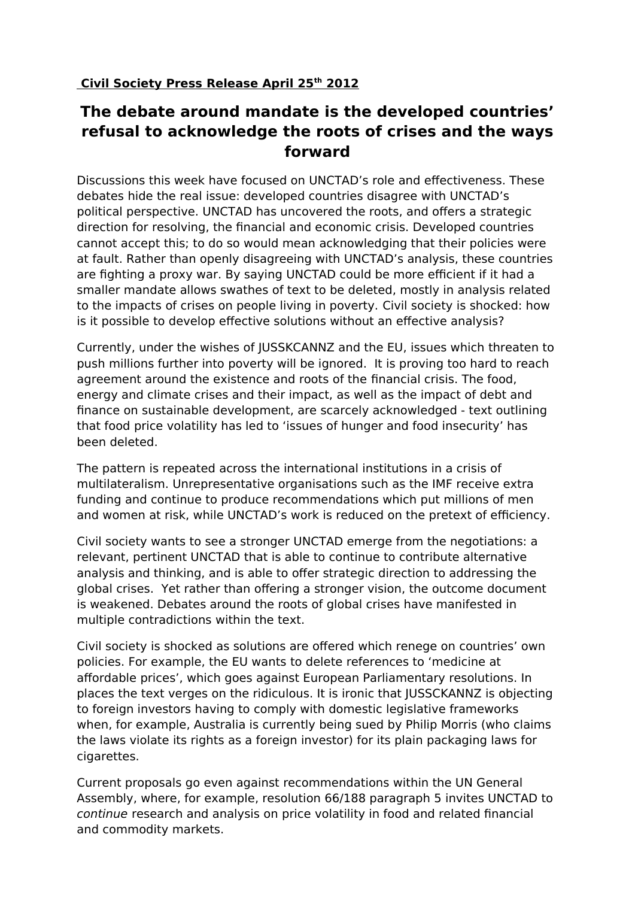## **The debate around mandate is the developed countries' refusal to acknowledge the roots of crises and the ways forward**

Discussions this week have focused on UNCTAD's role and effectiveness. These debates hide the real issue: developed countries disagree with UNCTAD's political perspective. UNCTAD has uncovered the roots, and offers a strategic direction for resolving, the financial and economic crisis. Developed countries cannot accept this; to do so would mean acknowledging that their policies were at fault. Rather than openly disagreeing with UNCTAD's analysis, these countries are fighting a proxy war. By saying UNCTAD could be more efficient if it had a smaller mandate allows swathes of text to be deleted, mostly in analysis related to the impacts of crises on people living in poverty. Civil society is shocked: how is it possible to develop effective solutions without an effective analysis?

Currently, under the wishes of JUSSKCANNZ and the EU, issues which threaten to push millions further into poverty will be ignored. It is proving too hard to reach agreement around the existence and roots of the financial crisis. The food, energy and climate crises and their impact, as well as the impact of debt and finance on sustainable development, are scarcely acknowledged - text outlining that food price volatility has led to 'issues of hunger and food insecurity' has been deleted.

The pattern is repeated across the international institutions in a crisis of multilateralism. Unrepresentative organisations such as the IMF receive extra funding and continue to produce recommendations which put millions of men and women at risk, while UNCTAD's work is reduced on the pretext of efficiency.

Civil society wants to see a stronger UNCTAD emerge from the negotiations: a relevant, pertinent UNCTAD that is able to continue to contribute alternative analysis and thinking, and is able to offer strategic direction to addressing the global crises. Yet rather than offering a stronger vision, the outcome document is weakened. Debates around the roots of global crises have manifested in multiple contradictions within the text.

Civil society is shocked as solutions are offered which renege on countries' own policies. For example, the EU wants to delete references to 'medicine at affordable prices', which goes against European Parliamentary resolutions. In places the text verges on the ridiculous. It is ironic that JUSSCKANNZ is objecting to foreign investors having to comply with domestic legislative frameworks when, for example, Australia is currently being sued by Philip Morris (who claims the laws violate its rights as a foreign investor) for its plain packaging laws for cigarettes.

Current proposals go even against recommendations within the UN General Assembly, where, for example, resolution 66/188 paragraph 5 invites UNCTAD to continue research and analysis on price volatility in food and related financial and commodity markets.